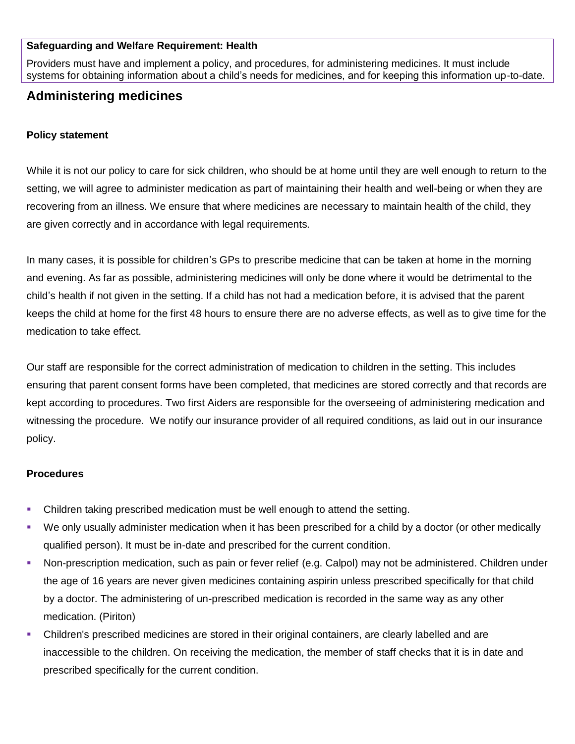#### **Safeguarding and Welfare Requirement: Health**

Providers must have and implement a policy, and procedures, for administering medicines. It must include systems for obtaining information about a child's needs for medicines, and for keeping this information up-to-date.

# **Administering medicines**

### **Policy statement**

While it is not our policy to care for sick children, who should be at home until they are well enough to return to the setting, we will agree to administer medication as part of maintaining their health and well-being or when they are recovering from an illness. We ensure that where medicines are necessary to maintain health of the child, they are given correctly and in accordance with legal requirements.

In many cases, it is possible for children's GPs to prescribe medicine that can be taken at home in the morning and evening. As far as possible, administering medicines will only be done where it would be detrimental to the child's health if not given in the setting. If a child has not had a medication before, it is advised that the parent keeps the child at home for the first 48 hours to ensure there are no adverse effects, as well as to give time for the medication to take effect.

Our staff are responsible for the correct administration of medication to children in the setting. This includes ensuring that parent consent forms have been completed, that medicines are stored correctly and that records are kept according to procedures. Two first Aiders are responsible for the overseeing of administering medication and witnessing the procedure. We notify our insurance provider of all required conditions, as laid out in our insurance policy.

### **Procedures**

- Children taking prescribed medication must be well enough to attend the setting.
- We only usually administer medication when it has been prescribed for a child by a doctor (or other medically qualified person). It must be in-date and prescribed for the current condition.
- Non-prescription medication, such as pain or fever relief (e.g. Calpol) may not be administered. Children under the age of 16 years are never given medicines containing aspirin unless prescribed specifically for that child by a doctor. The administering of un-prescribed medication is recorded in the same way as any other medication. (Piriton)
- Children's prescribed medicines are stored in their original containers, are clearly labelled and are inaccessible to the children. On receiving the medication, the member of staff checks that it is in date and prescribed specifically for the current condition.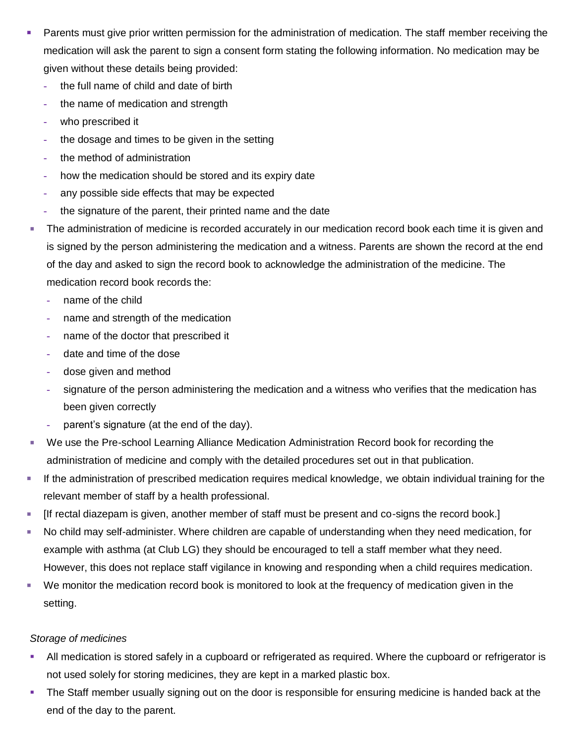- Parents must give prior written permission for the administration of medication. The staff member receiving the medication will ask the parent to sign a consent form stating the following information. No medication may be given without these details being provided:
	- **-** the full name of child and date of birth
	- **-** the name of medication and strength
	- **-** who prescribed it
	- **-** the dosage and times to be given in the setting
	- **-** the method of administration
	- **-** how the medication should be stored and its expiry date
	- **-** any possible side effects that may be expected
	- **-** the signature of the parent, their printed name and the date
- The administration of medicine is recorded accurately in our medication record book each time it is given and is signed by the person administering the medication and a witness. Parents are shown the record at the end of the day and asked to sign the record book to acknowledge the administration of the medicine. The medication record book records the:
	- **-** name of the child
	- **-** name and strength of the medication
	- **-** name of the doctor that prescribed it
	- **-** date and time of the dose
	- **-** dose given and method
	- **-** signature of the person administering the medication and a witness who verifies that the medication has been given correctly
	- **-** parent's signature (at the end of the day).
- We use the Pre-school Learning Alliance Medication Administration Record book for recording the administration of medicine and comply with the detailed procedures set out in that publication.
- If the administration of prescribed medication requires medical knowledge, we obtain individual training for the relevant member of staff by a health professional.
- [If rectal diazepam is given, another member of staff must be present and co-signs the record book.]
- No child may self-administer. Where children are capable of understanding when they need medication, for example with asthma (at Club LG) they should be encouraged to tell a staff member what they need. However, this does not replace staff vigilance in knowing and responding when a child requires medication.
- We monitor the medication record book is monitored to look at the frequency of medication given in the setting.

## *Storage of medicines*

- All medication is stored safely in a cupboard or refrigerated as required. Where the cupboard or refrigerator is not used solely for storing medicines, they are kept in a marked plastic box.
- The Staff member usually signing out on the door is responsible for ensuring medicine is handed back at the end of the day to the parent.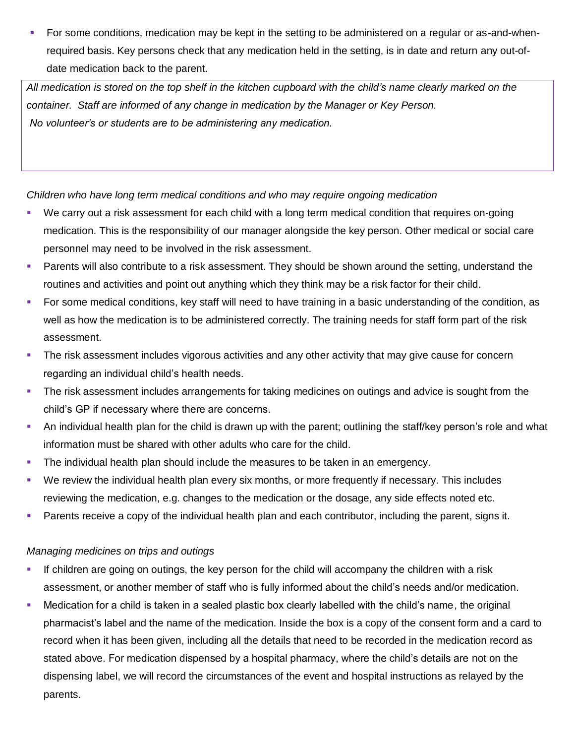For some conditions, medication may be kept in the setting to be administered on a regular or as-and-whenrequired basis. Key persons check that any medication held in the setting, is in date and return any out-ofdate medication back to the parent.

*All medication is stored on the top shelf in the kitchen cupboard with the child's name clearly marked on the container. Staff are informed of any change in medication by the Manager or Key Person. No volunteer's or students are to be administering any medication.*

*Children who have long term medical conditions and who may require ongoing medication*

- We carry out a risk assessment for each child with a long term medical condition that requires on-going medication. This is the responsibility of our manager alongside the key person. Other medical or social care personnel may need to be involved in the risk assessment.
- **Parents will also contribute to a risk assessment. They should be shown around the setting, understand the** routines and activities and point out anything which they think may be a risk factor for their child.
- For some medical conditions, key staff will need to have training in a basic understanding of the condition, as well as how the medication is to be administered correctly. The training needs for staff form part of the risk assessment.
- **The risk assessment includes vigorous activities and any other activity that may give cause for concern** regarding an individual child's health needs.
- The risk assessment includes arrangements for taking medicines on outings and advice is sought from the child's GP if necessary where there are concerns.
- An individual health plan for the child is drawn up with the parent; outlining the staff/key person's role and what information must be shared with other adults who care for the child.
- **The individual health plan should include the measures to be taken in an emergency.**
- We review the individual health plan every six months, or more frequently if necessary. This includes reviewing the medication, e.g. changes to the medication or the dosage, any side effects noted etc.
- **Parents receive a copy of the individual health plan and each contributor, including the parent, signs it.**

## *Managing medicines on trips and outings*

- If children are going on outings, the key person for the child will accompany the children with a risk assessment, or another member of staff who is fully informed about the child's needs and/or medication.
- Medication for a child is taken in a sealed plastic box clearly labelled with the child's name, the original pharmacist's label and the name of the medication. Inside the box is a copy of the consent form and a card to record when it has been given, including all the details that need to be recorded in the medication record as stated above. For medication dispensed by a hospital pharmacy, where the child's details are not on the dispensing label, we will record the circumstances of the event and hospital instructions as relayed by the parents.